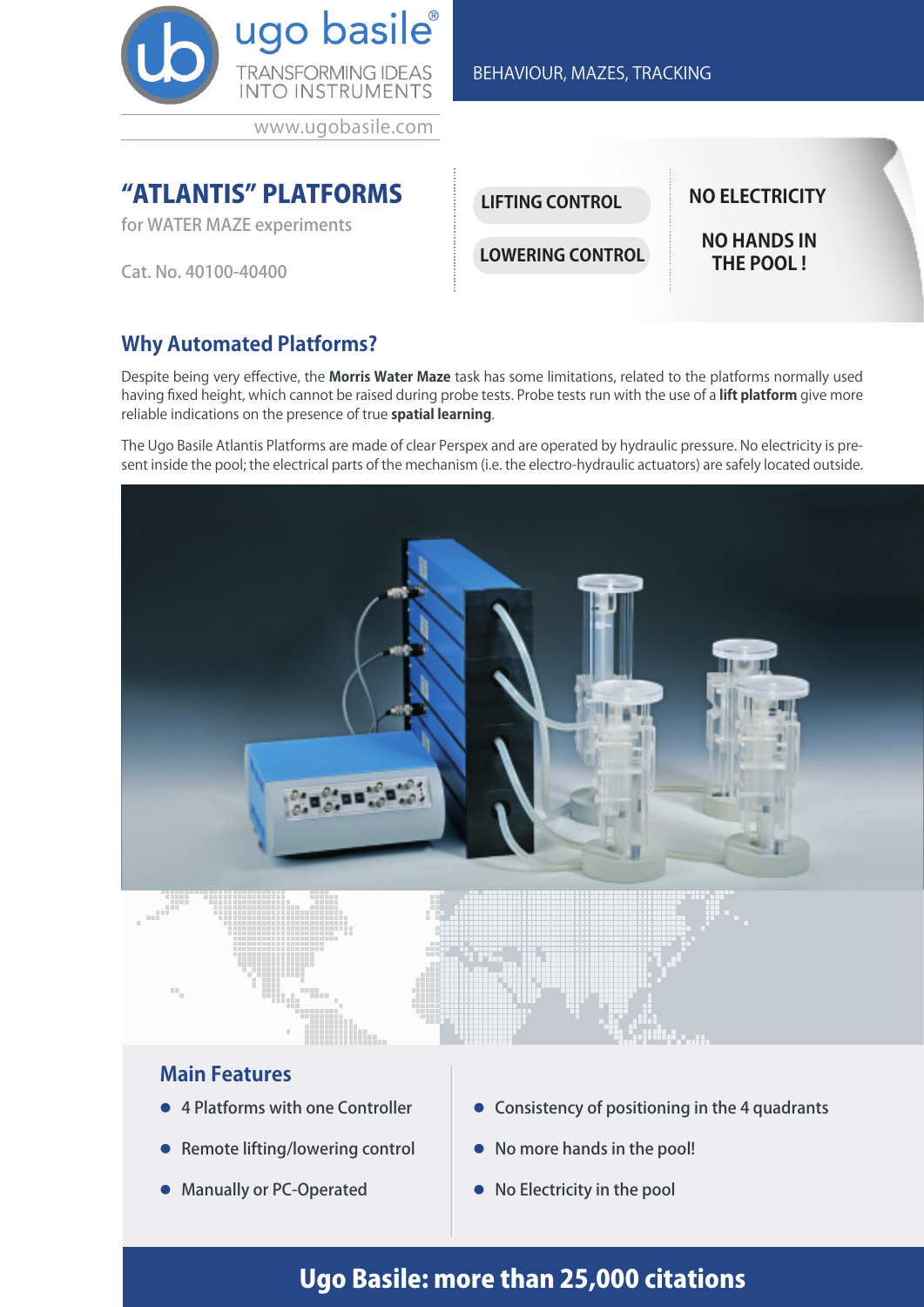

www.ugobasile.com

## **"ATLANTIS" PLATFORMS** ILLETING CONTROL NO ELECTRICITY

for WATER MAZE experiments

Cat. No. 40100-40400

## **Why Automated Platforms?**

Despite being very effective, the **Morris Water Maze** task has some limitations, related to the platforms normally used having fixed height, which cannot be raised during probe tests. Probe tests run with the use of a **lift platform** give more reliable indications on the presence of true **spatial learning**.

The Ugo Basile Atlantis Platforms are made of clear Perspex and are operated by hydraulic pressure. No electricity is present inside the pool; the electrical parts of the mechanism (i.e. the electro-hydraulic actuators) are safely located outside.



### **Main Features**

● 4 Platforms with one Controller

Ēw.

- **Remote lifting/lowering control**
- **Manually or PC-Operated**
- l Consistency of positioning in the 4 quadrants
- No more hands in the pool!
- $\bullet$  No Electricity in the pool

# Ugo Basile: more than 25,000 citations

BEHAVIOUR, MAZES, TRACKING

**LIFTING CONTROL**

**LOWERING CONTROL**

**NO HANDS IN THE POOL !**